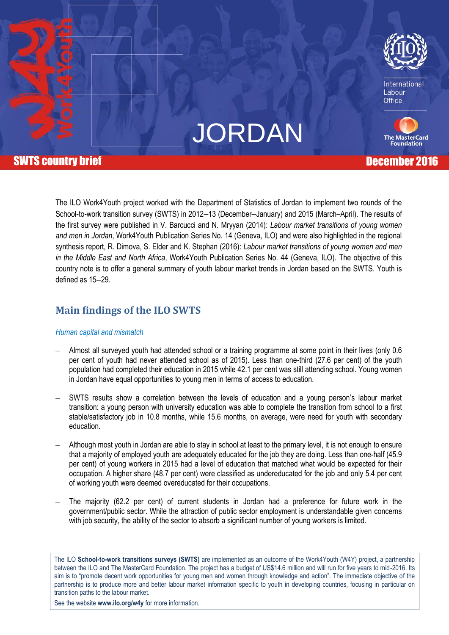

International Labour Office

**The MasterCard Foundation** 



# **SWTS country brief Country of Country and Country of Country and Country of Country and Country of Country and Country of Country and Country of Country and Country of Country and Country of Country and Country of Country**

The ILO Work4Youth project worked with the Department of Statistics of Jordan to implement two rounds of the School-to-work transition survey (SWTS) in 2012–13 (December–January) and 2015 (March–April). The results of the first survey were published in V. Barcucci and N. Mryyan (2014): *Labour market transitions of young women and men in Jordan*, Work4Youth Publication Series No. 14 (Geneva, ILO) and were also highlighted in the regional synthesis report, R. Dimova, S. Elder and K. Stephan (2016): *Labour market transitions of young women and men in the Middle East and North Africa*, Work4Youth Publication Series No. 44 (Geneva, ILO). The objective of this country note is to offer a general summary of youth labour market trends in Jordan based on the SWTS. Youth is defined as 15-29.

# **Main findings of the ILO SWTS**

#### *Human capital and mismatch*

- ‒ Almost all surveyed youth had attended school or a training programme at some point in their lives (only 0.6 per cent of youth had never attended school as of 2015). Less than one-third (27.6 per cent) of the youth population had completed their education in 2015 while 42.1 per cent was still attending school. Young women in Jordan have equal opportunities to young men in terms of access to education.
- ‒ SWTS results show a correlation between the levels of education and a young person's labour market transition: a young person with university education was able to complete the transition from school to a first stable/satisfactory job in 10.8 months, while 15.6 months, on average, were need for youth with secondary education.
- Although most youth in Jordan are able to stay in school at least to the primary level, it is not enough to ensure that a majority of employed youth are adequately educated for the job they are doing. Less than one-half (45.9 per cent) of young workers in 2015 had a level of education that matched what would be expected for their occupation. A higher share (48.7 per cent) were classified as undereducated for the job and only 5.4 per cent of working youth were deemed overeducated for their occupations.
- ‒ The majority (62.2 per cent) of current students in Jordan had a preference for future work in the government/public sector. While the attraction of public sector employment is understandable given concerns with job security, the ability of the sector to absorb a significant number of young workers is limited.

The ILO **School-to-work transitions surveys (SWTS)** are implemented as an outcome of the Work4Youth (W4Y) project, a partnership between the ILO and The MasterCard Foundation. The project has a budget of US\$14.6 million and will run for five years to mid-2016. Its aim is to "promote decent work opportunities for young men and women through knowledge and action". The immediate objective of the partnership is to produce more and better labour market information specific to youth in developing countries, focusing in particular on transition paths to the labour market.

See the website **[www.ilo.org/w4y](http://www.ilo.org/w4y)** for more information.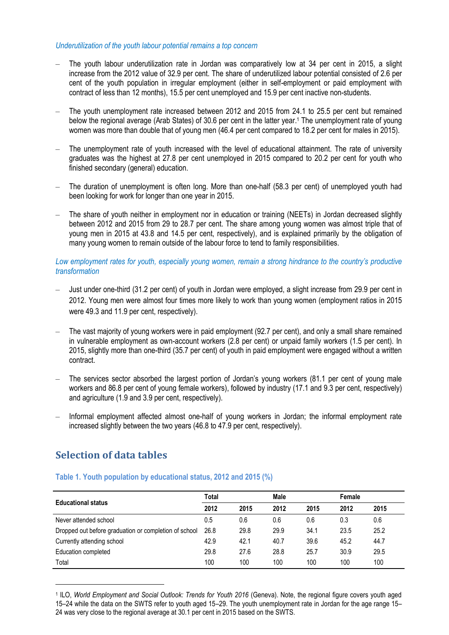#### *Underutilization of the youth labour potential remains a top concern*

- ‒ The youth labour underutilization rate in Jordan was comparatively low at 34 per cent in 2015, a slight increase from the 2012 value of 32.9 per cent. The share of underutilized labour potential consisted of 2.6 per cent of the youth population in irregular employment (either in self-employment or paid employment with contract of less than 12 months), 15.5 per cent unemployed and 15.9 per cent inactive non-students.
- The youth unemployment rate increased between 2012 and 2015 from 24.1 to 25.5 per cent but remained below the regional average (Arab States) of 30.6 per cent in the latter year. <sup>1</sup> The unemployment rate of young women was more than double that of young men (46.4 per cent compared to 18.2 per cent for males in 2015).
- The unemployment rate of youth increased with the level of educational attainment. The rate of university graduates was the highest at 27.8 per cent unemployed in 2015 compared to 20.2 per cent for youth who finished secondary (general) education.
- ‒ The duration of unemployment is often long. More than one-half (58.3 per cent) of unemployed youth had been looking for work for longer than one year in 2015.
- ‒ The share of youth neither in employment nor in education or training (NEETs) in Jordan decreased slightly between 2012 and 2015 from 29 to 28.7 per cent. The share among young women was almost triple that of young men in 2015 at 43.8 and 14.5 per cent, respectively), and is explained primarily by the obligation of many young women to remain outside of the labour force to tend to family responsibilities.

#### *Low employment rates for youth, especially young women, remain a strong hindrance to the country's productive transformation*

- ‒ Just under one-third (31.2 per cent) of youth in Jordan were employed, a slight increase from 29.9 per cent in 2012. Young men were almost four times more likely to work than young women (employment ratios in 2015 were 49.3 and 11.9 per cent, respectively).
- ‒ The vast majority of young workers were in paid employment (92.7 per cent), and only a small share remained in vulnerable employment as own-account workers (2.8 per cent) or unpaid family workers (1.5 per cent). In 2015, slightly more than one-third (35.7 per cent) of youth in paid employment were engaged without a written contract.
- ‒ The services sector absorbed the largest portion of Jordan's young workers (81.1 per cent of young male workers and 86.8 per cent of young female workers), followed by industry (17.1 and 9.3 per cent, respectively) and agriculture (1.9 and 3.9 per cent, respectively).
- ‒ Informal employment affected almost one-half of young workers in Jordan; the informal employment rate increased slightly between the two years (46.8 to 47.9 per cent, respectively).

# **Selection of data tables**

 $\overline{a}$ 

#### **Table 1. Youth population by educational status, 2012 and 2015 (%)**

|                                                       | Total |      | Male |      |      |      |
|-------------------------------------------------------|-------|------|------|------|------|------|
| <b>Educational status</b>                             | 2012  | 2015 | 2012 | 2015 | 2012 | 2015 |
| Never attended school                                 | 0.5   | 0.6  | 0.6  | 0.6  | 0.3  | 0.6  |
| Dropped out before graduation or completion of school | 26.8  | 29.8 | 29.9 | 34.1 | 23.5 | 25.2 |
| Currently attending school                            | 42.9  | 42.1 | 40.7 | 39.6 | 45.2 | 44.7 |
| Education completed                                   | 29.8  | 27.6 | 28.8 | 25.7 | 30.9 | 29.5 |
| Total                                                 | 100   | 100  | 100  | 100  | 100  | 100  |

<sup>&</sup>lt;sup>1</sup> ILO, World Employment and Social Outlook: Trends for Youth 2016 (Geneva). Note, the regional figure covers youth aged 15–24 while the data on the SWTS refer to youth aged 15–29. The youth unemployment rate in Jordan for the age range 15– 24 was very close to the regional average at 30.1 per cent in 2015 based on the SWTS.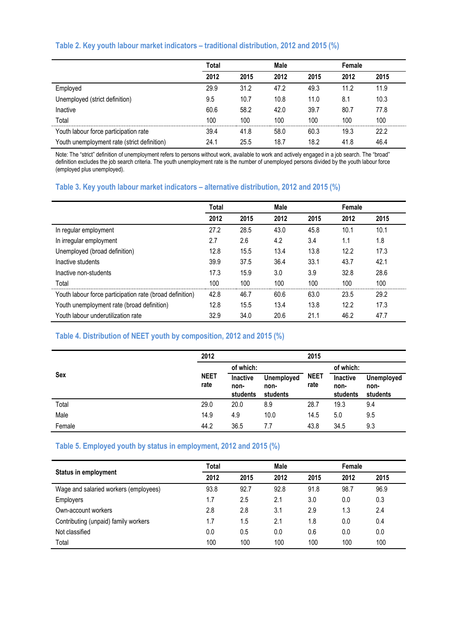#### **Table 2. Key youth labour market indicators – traditional distribution, 2012 and 2015 (%)**

|                                             | Total |      | Male |      | Female |      |
|---------------------------------------------|-------|------|------|------|--------|------|
|                                             | 2012  | 2015 | 2012 | 2015 | 2012   | 2015 |
| Employed                                    | 29.9  | 31.2 | 47.2 | 49.3 | 11.2   | 11.9 |
| Unemployed (strict definition)              | 9.5   | 10.7 | 10.8 | 11.0 | 8.1    | 10.3 |
| Inactive                                    | 60.6  | 58.2 | 42.0 | 39.7 | 80.7   | 77.8 |
| Total                                       | 100   | 100  | 100  | 100  | 100    | 100  |
| Youth labour force participation rate       | 39.4  | 41.8 | 58.0 | 60.3 | 19.3   | 22.2 |
| Youth unemployment rate (strict definition) | 24.1  | 25.5 | 18.7 | 18.2 | 41.8   | 46.4 |

Note: The "strict" definition of unemployment refers to persons without work, available to work and actively engaged in a job search. The "broad" definition excludes the job search criteria. The youth unemployment rate is the number of unemployed persons divided by the youth labour force (employed plus unemployed).

#### **Table 3. Key youth labour market indicators – alternative distribution, 2012 and 2015 (%)**

|                                                          | Total |      | Male |      | Female |      |
|----------------------------------------------------------|-------|------|------|------|--------|------|
|                                                          | 2012  | 2015 | 2012 | 2015 | 2012   | 2015 |
| In regular employment                                    | 27.2  | 28.5 | 43.0 | 45.8 | 10.1   | 10.1 |
| In irregular employment                                  | 2.7   | 2.6  | 4.2  | 3.4  | 1.1    | 1.8  |
| Unemployed (broad definition)                            | 12.8  | 15.5 | 13.4 | 13.8 | 12.2   | 17.3 |
| Inactive students                                        | 39.9  | 37.5 | 36.4 | 33.1 | 43.7   | 42.1 |
| Inactive non-students                                    | 17.3  | 15.9 | 3.0  | 3.9  | 32.8   | 28.6 |
| Total                                                    | 100   | 100  | 100  | 100  | 100    | 100  |
| Youth labour force participation rate (broad definition) | 42.8  | 46.7 | 60.6 | 63.0 | 23.5   | 29.2 |
| Youth unemployment rate (broad definition)               | 12.8  | 15.5 | 13.4 | 13.8 | 12.2   | 17.3 |
| Youth labour underutilization rate                       | 32.9  | 34.0 | 20.6 | 21.1 | 46.2   | 47.7 |

#### **Table 4. Distribution of NEET youth by composition, 2012 and 2015 (%)**

|        | 2012                                                |                                       |                     | 2015                         |                                |     |
|--------|-----------------------------------------------------|---------------------------------------|---------------------|------------------------------|--------------------------------|-----|
|        |                                                     | of which:                             |                     |                              | of which:                      |     |
| Sex    | <b>NEET</b><br>Inactive<br>rate<br>non-<br>students | <b>Unemployed</b><br>non-<br>students | <b>NEET</b><br>rate | Inactive<br>non-<br>students | Unemployed<br>non-<br>students |     |
| Total  | 29.0                                                | 20.0                                  | 8.9                 | 28.7                         | 19.3                           | 9.4 |
| Male   | 14.9                                                | 4.9                                   | 10.0                | 14.5                         | 5.0                            | 9.5 |
| Female | 44.2                                                | 36.5                                  | 7.7                 | 43.8                         | 34.5                           | 9.3 |

#### **Table 5. Employed youth by status in employment, 2012 and 2015 (%)**

|                                       | Total |      | Male |      | Female |      |
|---------------------------------------|-------|------|------|------|--------|------|
| <b>Status in employment</b>           | 2012  | 2015 | 2012 | 2015 | 2012   | 2015 |
| Wage and salaried workers (employees) | 93.8  | 92.7 | 92.8 | 91.8 | 98.7   | 96.9 |
| <b>Employers</b>                      | 1.7   | 2.5  | 2.1  | 3.0  | 0.0    | 0.3  |
| Own-account workers                   | 2.8   | 2.8  | 3.1  | 2.9  | 1.3    | 2.4  |
| Contributing (unpaid) family workers  | 1.7   | 1.5  | 2.1  | 1.8  | 0.0    | 0.4  |
| Not classified                        | 0.0   | 0.5  | 0.0  | 0.6  | 0.0    | 0.0  |
| Total                                 | 100   | 100  | 100  | 100  | 100    | 100  |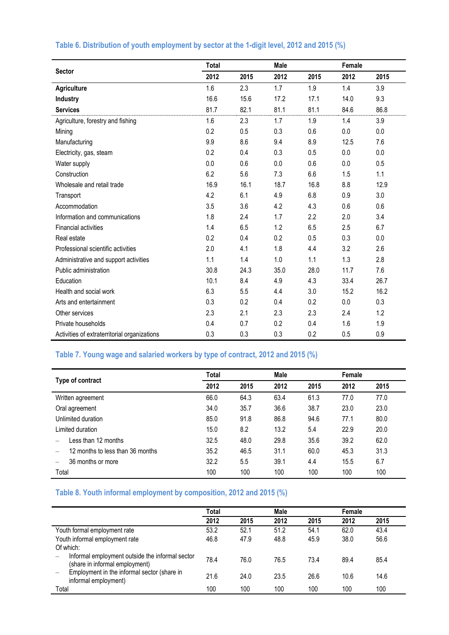|                                              | Total |      | Male |      | Female |      |
|----------------------------------------------|-------|------|------|------|--------|------|
| <b>Sector</b>                                | 2012  | 2015 | 2012 | 2015 | 2012   | 2015 |
| <b>Agriculture</b>                           | 1.6   | 2.3  | 1.7  | 1.9  | 1.4    | 3.9  |
| Industry                                     | 16.6  | 15.6 | 17.2 | 17.1 | 14.0   | 9.3  |
| <b>Services</b>                              | 81.7  | 82.1 | 81.1 | 81.1 | 84.6   | 86.8 |
| Agriculture, forestry and fishing            | 1.6   | 2.3  | 1.7  | 1.9  | 1.4    | 3.9  |
| Mining                                       | 0.2   | 0.5  | 0.3  | 0.6  | 0.0    | 0.0  |
| Manufacturing                                | 9.9   | 8.6  | 9.4  | 8.9  | 12.5   | 7.6  |
| Electricity, gas, steam                      | 0.2   | 0.4  | 0.3  | 0.5  | 0.0    | 0.0  |
| Water supply                                 | 0.0   | 0.6  | 0.0  | 0.6  | 0.0    | 0.5  |
| Construction                                 | 6.2   | 5.6  | 7.3  | 6.6  | 1.5    | 1.1  |
| Wholesale and retail trade                   | 16.9  | 16.1 | 18.7 | 16.8 | 8.8    | 12.9 |
| Transport                                    | 4.2   | 6.1  | 4.9  | 6.8  | 0.9    | 3.0  |
| Accommodation                                | 3.5   | 3.6  | 4.2  | 4.3  | 0.6    | 0.6  |
| Information and communications               | 1.8   | 2.4  | 1.7  | 2.2  | 2.0    | 3.4  |
| <b>Financial activities</b>                  | 1.4   | 6.5  | 1.2  | 6.5  | 2.5    | 6.7  |
| Real estate                                  | 0.2   | 0.4  | 0.2  | 0.5  | 0.3    | 0.0  |
| Professional scientific activities           | 2.0   | 4.1  | 1.8  | 4.4  | 3.2    | 2.6  |
| Administrative and support activities        | 1.1   | 1.4  | 1.0  | 1.1  | 1.3    | 2.8  |
| Public administration                        | 30.8  | 24.3 | 35.0 | 28.0 | 11.7   | 7.6  |
| Education                                    | 10.1  | 8.4  | 4.9  | 4.3  | 33.4   | 26.7 |
| Health and social work                       | 6.3   | 5.5  | 4.4  | 3.0  | 15.2   | 16.2 |
| Arts and entertainment                       | 0.3   | 0.2  | 0.4  | 0.2  | 0.0    | 0.3  |
| Other services                               | 2.3   | 2.1  | 2.3  | 2.3  | 2.4    | 1.2  |
| Private households                           | 0.4   | 0.7  | 0.2  | 0.4  | 1.6    | 1.9  |
| Activities of extraterritorial organizations | 0.3   | 0.3  | 0.3  | 0.2  | 0.5    | 0.9  |

#### **Table 6. Distribution of youth employment by sector at the 1-digit level, 2012 and 2015 (%)**

# **Table 7. Young wage and salaried workers by type of contract, 2012 and 2015 (%)**

|                                  | Total |      | Male |      | Female |      |
|----------------------------------|-------|------|------|------|--------|------|
| Type of contract                 | 2012  | 2015 | 2012 | 2015 | 2012   | 2015 |
| Written agreement                | 66.0  | 64.3 | 63.4 | 61.3 | 77.0   | 77.0 |
| Oral agreement                   | 34.0  | 35.7 | 36.6 | 38.7 | 23.0   | 23.0 |
| Unlimited duration               | 85.0  | 91.8 | 86.8 | 94.6 | 77.1   | 80.0 |
| Limited duration                 | 15.0  | 8.2  | 13.2 | 5.4  | 22.9   | 20.0 |
| Less than 12 months              | 32.5  | 48.0 | 29.8 | 35.6 | 39.2   | 62.0 |
| 12 months to less than 36 months | 35.2  | 46.5 | 31.1 | 60.0 | 45.3   | 31.3 |
| 36 months or more                | 32.2  | 5.5  | 39.1 | 4.4  | 15.5   | 6.7  |
| Total                            | 100   | 100  | 100  | 100  | 100    | 100  |

## **Table 8. Youth informal employment by composition, 2012 and 2015 (%)**

|                                                                                   | Total |      | Male |      | Female |      |
|-----------------------------------------------------------------------------------|-------|------|------|------|--------|------|
|                                                                                   | 2012  | 2015 | 2012 | 2015 | 2012   | 2015 |
| Youth formal employment rate                                                      | 53.2  | 52.1 | 51.2 | 54.1 | 62.0   | 43.4 |
| Youth informal employment rate                                                    | 46.8  | 47.9 | 48.8 | 45.9 | 38.0   | 56.6 |
| Of which:                                                                         |       |      |      |      |        |      |
| Informal employment outside the informal sector<br>(share in informal employment) | 78.4  | 76.0 | 76.5 | 73.4 | 89.4   | 85.4 |
| Employment in the informal sector (share in<br>informal employment)               | 21.6  | 24.0 | 23.5 | 26.6 | 10.6   | 14.6 |
| Total                                                                             | 100   | 100  | 100  | 100  | 100    | 100  |